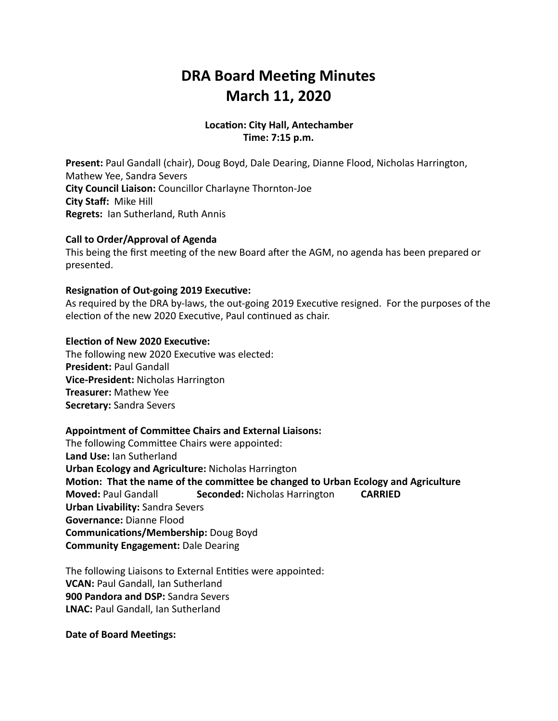# **DRA Board Meeting Minutes March 11, 2020**

# **Location: City Hall, Antechamber Time: 7:15 p.m.**

**Present:** Paul Gandall (chair), Doug Boyd, Dale Dearing, Dianne Flood, Nicholas Harrington, Mathew Yee, Sandra Severs **City Council Liaison:** Councillor Charlayne Thornton-Joe **City Staff: Mike Hill Regrets:** Ian Sutherland, Ruth Annis

## **Call to Order/Approval of Agenda**

This being the first meeting of the new Board after the AGM, no agenda has been prepared or presented. 

## **Resignation of Out-going 2019 Executive:**

As required by the DRA by-laws, the out-going 2019 Executive resigned. For the purposes of the election of the new 2020 Executive, Paul continued as chair.

#### **Election of New 2020 Executive:**

The following new 2020 Executive was elected: **President: Paul Gandall Vice-President:** Nicholas Harrington **Treasurer:** Mathew Yee **Secretary: Sandra Severs** 

## **Appointment of Committee Chairs and External Liaisons:**

The following Committee Chairs were appointed: Land Use: Ian Sutherland **Urban Ecology and Agriculture:** Nicholas Harrington **Motion: That the name of the committee be changed to Urban Ecology and Agriculture Moved:** Paul Gandall **Seconded:** Nicholas Harrington **CARRIED Urban Livability:** Sandra Severs **Governance: Dianne Flood Communications/Membership:** Doug Boyd **Community Engagement: Dale Dearing** 

The following Liaisons to External Entities were appointed: **VCAN: Paul Gandall, Ian Sutherland 900 Pandora and DSP:** Sandra Severs **LNAC:** Paul Gandall, Ian Sutherland

#### **Date of Board Meetings:**